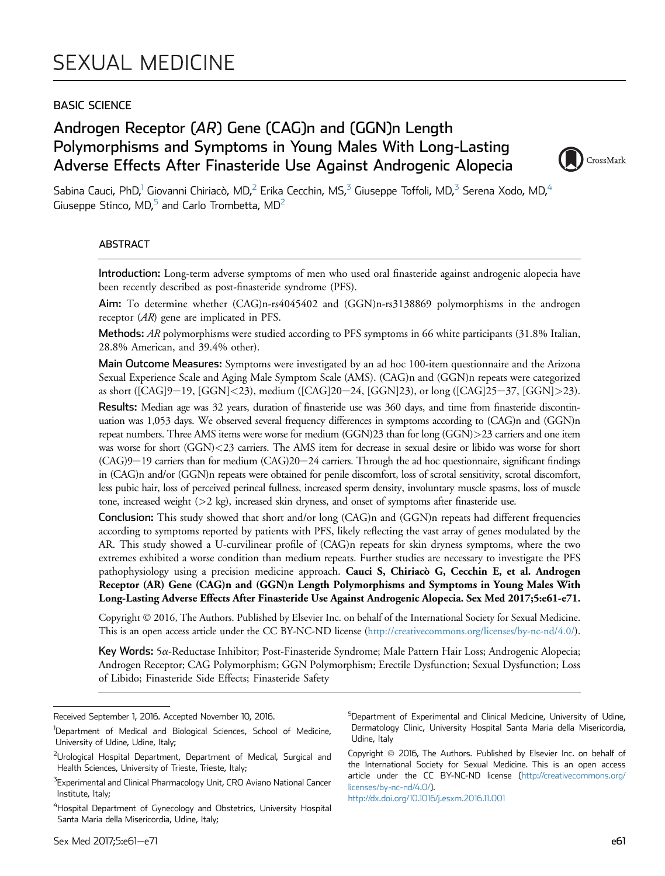### BASIC SCIENCE

# Androgen Receptor (AR) Gene (CAG)n and (GGN)n Length Polymorphisms and Symptoms in Young Males With Long-Lasting Adverse Effects After Finasteride Use Against Androgenic Alopecia



Sabina Cauci, PhD,<sup>1</sup> Giovanni Chiriacò, MD,<sup>2</sup> Erika Cecchin, MS,<sup>3</sup> Giuseppe Toffoli, MD,<sup>3</sup> Serena Xodo, MD,<sup>4</sup> Giuseppe Stinco, MD, $^5$  and Carlo Trombetta, MD<sup>2</sup>

### ABSTRACT

Introduction: Long-term adverse symptoms of men who used oral finasteride against androgenic alopecia have been recently described as post-finasteride syndrome (PFS).

Aim: To determine whether (CAG)n-rs4045402 and (GGN)n-rs3138869 polymorphisms in the androgen receptor (AR) gene are implicated in PFS.

Methods: AR polymorphisms were studied according to PFS symptoms in 66 white participants (31.8% Italian, 28.8% American, and 39.4% other).

Main Outcome Measures: Symptoms were investigated by an ad hoc 100-item questionnaire and the Arizona Sexual Experience Scale and Aging Male Symptom Scale (AMS). (CAG)n and (GGN)n repeats were categorized as short ([CAG]9-19, [GGN]<23), medium ([CAG]20-24, [GGN]23), or long ([CAG]25-37, [GGN]>23).

Results: Median age was 32 years, duration of finasteride use was 360 days, and time from finasteride discontinuation was 1,053 days. We observed several frequency differences in symptoms according to (CAG)n and (GGN)n repeat numbers. Three AMS items were worse for medium (GGN)23 than for long (GGN)>23 carriers and one item was worse for short (GGN)<23 carriers. The AMS item for decrease in sexual desire or libido was worse for short  $(CAG)9-19$  carriers than for medium  $(CAG)20-24$  carriers. Through the ad hoc questionnaire, significant findings in (CAG)n and/or (GGN)n repeats were obtained for penile discomfort, loss of scrotal sensitivity, scrotal discomfort, less pubic hair, loss of perceived perineal fullness, increased sperm density, involuntary muscle spasms, loss of muscle tone, increased weight (>2 kg), increased skin dryness, and onset of symptoms after finasteride use.

Conclusion: This study showed that short and/or long (CAG)n and (GGN)n repeats had different frequencies according to symptoms reported by patients with PFS, likely reflecting the vast array of genes modulated by the AR. This study showed a U-curvilinear profile of (CAG)n repeats for skin dryness symptoms, where the two extremes exhibited a worse condition than medium repeats. Further studies are necessary to investigate the PFS pathophysiology using a precision medicine approach. Cauci S, Chiriacò G, Cecchin E, et al. Androgen Receptor (AR) Gene (CAG)n and (GGN)n Length Polymorphisms and Symptoms in Young Males With Long-Lasting Adverse Effects After Finasteride Use Against Androgenic Alopecia. Sex Med 2017;5:e61-e71.

Copyright 2016, The Authors. Published by Elsevier Inc. on behalf of the International Society for Sexual Medicine. This is an open access article under the CC BY-NC-ND license [\(http://creativecommons.org/licenses/by-nc-nd/4.0/](http://creativecommons.org/licenses/by-nc-nd/4.0/)).

Key Words: 5a-Reductase Inhibitor; Post-Finasteride Syndrome; Male Pattern Hair Loss; Androgenic Alopecia; Androgen Receptor; CAG Polymorphism; GGN Polymorphism; Erectile Dysfunction; Sexual Dysfunction; Loss of Libido; Finasteride Side Effects; Finasteride Safety

<sup>5</sup>Department of Experimental and Clinical Medicine, University of Udine, Dermatology Clinic, University Hospital Santa Maria della Misericordia, Udine, Italy

Copyright © 2016, The Authors. Published by Elsevier Inc. on behalf of the International Society for Sexual Medicine. This is an open access article under the CC BY-NC-ND license ([http://creativecommons.org/](http://creativecommons.org/licenses/by-nc-nd/4.0/) [licenses/by-nc-nd/4.0/](http://creativecommons.org/licenses/by-nc-nd/4.0/)). <http://dx.doi.org/10.1016/j.esxm.2016.11.001>

Received September 1, 2016. Accepted November 10, 2016.

<sup>&</sup>lt;sup>1</sup>Department of Medical and Biological Sciences, School of Medicine, University of Udine, Udine, Italy;

<sup>&</sup>lt;sup>2</sup>Urological Hospital Department, Department of Medical, Surgical and Health Sciences, University of Trieste, Trieste, Italy;

 $^3$ Experimental and Clinical Pharmacology Unit, CRO Aviano National Cancer Institute, Italy;

<sup>&</sup>lt;sup>4</sup>Hospital Department of Gynecology and Obstetrics, University Hospital Santa Maria della Misericordia, Udine, Italy;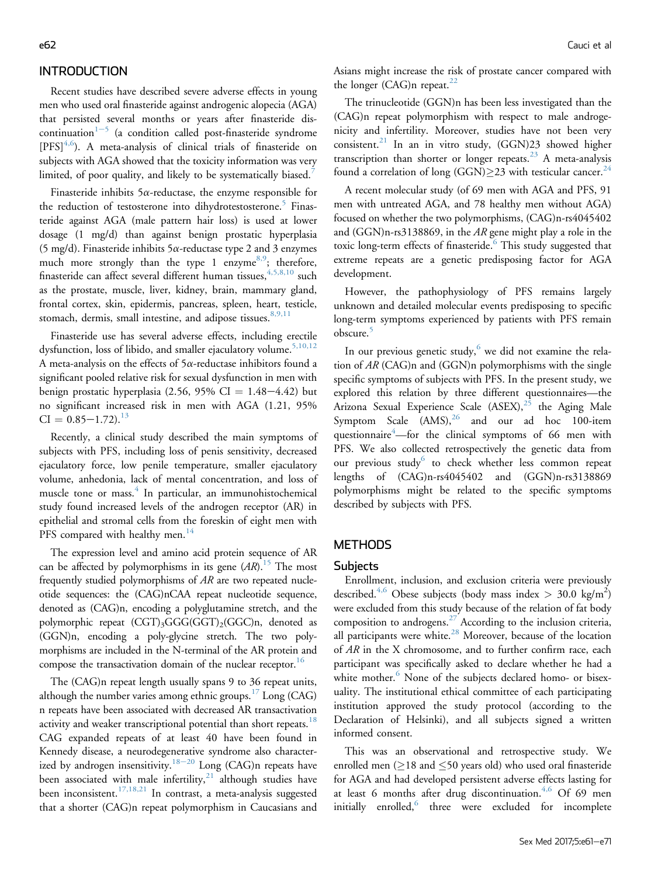### INTRODUCTION

Recent studies have described severe adverse effects in young men who used oral finasteride against androgenic alopecia (AGA) that persisted several months or years after finasteride discontinuation $1-5$  $1-5$  $1-5$  (a condition called post-finasteride syndrome  $[PFS]^{4,6}$  $[PFS]^{4,6}$  $[PFS]^{4,6}$ ). A meta-analysis of clinical trials of finasteride on subjects with AGA showed that the toxicity information was very limited, of poor quality, and likely to be systematically biased.<sup>[7](#page-9-0)</sup>

Finasteride inhibits  $5\alpha$ -reductase, the enzyme responsible for the reduction of testosterone into dihydrotestosterone.<sup>[5](#page-8-0)</sup> Finasteride against AGA (male pattern hair loss) is used at lower dosage (1 mg/d) than against benign prostatic hyperplasia (5 mg/d). Finasteride inhibits  $5\alpha$ -reductase type 2 and 3 enzymes much more strongly than the type 1 enzyme<sup>[8,9](#page-9-0)</sup>; therefore, finasteride can affect several different human tissues,  $4,5,8,10$  such as the prostate, muscle, liver, kidney, brain, mammary gland, frontal cortex, skin, epidermis, pancreas, spleen, heart, testicle, stomach, dermis, small intestine, and adipose tissues.<sup>[8,9,11](#page-9-0)</sup>

Finasteride use has several adverse effects, including erectile dysfunction, loss of libido, and smaller ejaculatory volume.<sup>[5,10,12](#page-8-0)</sup> A meta-analysis on the effects of  $5\alpha$ -reductase inhibitors found a significant pooled relative risk for sexual dysfunction in men with benign prostatic hyperplasia  $(2.56, 95\% \text{ CI} = 1.48-4.42)$  but no significant increased risk in men with AGA (1.21, 95%  $CI = 0.85 - 1.72$ .<sup>[13](#page-9-0)</sup>

Recently, a clinical study described the main symptoms of subjects with PFS, including loss of penis sensitivity, decreased ejaculatory force, low penile temperature, smaller ejaculatory volume, anhedonia, lack of mental concentration, and loss of muscle tone or mass.<sup>[4](#page-8-0)</sup> In particular, an immunohistochemical study found increased levels of the androgen receptor (AR) in epithelial and stromal cells from the foreskin of eight men with PFS compared with healthy men.<sup>[14](#page-9-0)</sup>

The expression level and amino acid protein sequence of AR can be affected by polymorphisms in its gene  $(AR)$ .<sup>[15](#page-9-0)</sup> The most frequently studied polymorphisms of  $AR$  are two repeated nucleotide sequences: the (CAG)nCAA repeat nucleotide sequence, denoted as (CAG)n, encoding a polyglutamine stretch, and the polymorphic repeat (CGT)3GGG(GGT)2(GGC)n, denoted as (GGN)n, encoding a poly-glycine stretch. The two polymorphisms are included in the N-terminal of the AR protein and compose the transactivation domain of the nuclear receptor.<sup>16</sup>

The (CAG)n repeat length usually spans 9 to 36 repeat units, although the number varies among ethnic groups.<sup>[17](#page-9-0)</sup> Long (CAG) n repeats have been associated with decreased AR transactivation activity and weaker transcriptional potential than short repeats.<sup>[18](#page-9-0)</sup> CAG expanded repeats of at least 40 have been found in Kennedy disease, a neurodegenerative syndrome also character-ized by androgen insensitivity.<sup>[18](#page-9-0)-[20](#page-9-0)</sup> Long (CAG)n repeats have been associated with male infertility, $21$  although studies have been inconsistent.<sup>[17,18,21](#page-9-0)</sup> In contrast, a meta-analysis suggested that a shorter (CAG)n repeat polymorphism in Caucasians and

Asians might increase the risk of prostate cancer compared with the longer (CAG)n repeat. $^{22}$  $^{22}$  $^{22}$ 

The trinucleotide (GGN)n has been less investigated than the (CAG)n repeat polymorphism with respect to male androgenicity and infertility. Moreover, studies have not been very consistent.<sup>[21](#page-9-0)</sup> In an in vitro study,  $(GGN)23$  showed higher transcription than shorter or longer repeats.<sup>[23](#page-9-0)</sup> A meta-analysis found a correlation of long (GGN) $\geq$ 23 with testicular cancer.<sup>[24](#page-9-0)</sup>

A recent molecular study (of 69 men with AGA and PFS, 91 men with untreated AGA, and 78 healthy men without AGA) focused on whether the two polymorphisms, (CAG)n-rs4045402 and (GGN)n-rs3138869, in the AR gene might play a role in the toxic long-term effects of finasteride.<sup>[6](#page-8-0)</sup> This study suggested that extreme repeats are a genetic predisposing factor for AGA development.

However, the pathophysiology of PFS remains largely unknown and detailed molecular events predisposing to specific long-term symptoms experienced by patients with PFS remain obscure.<sup>[5](#page-8-0)</sup>

In our previous genetic study, $6$  we did not examine the relation of AR (CAG)n and (GGN)n polymorphisms with the single specific symptoms of subjects with PFS. In the present study, we explored this relation by three different questionnaires—the Arizona Sexual Experience Scale  $(ASEX)^{25}$  $(ASEX)^{25}$  $(ASEX)^{25}$  the Aging Male Symptom Scale  $(AMS),^{26}$  $(AMS),^{26}$  $(AMS),^{26}$  and our ad hoc 100-item questionnaire<sup>[4](#page-8-0)</sup>—for the clinical symptoms of 66 men with PFS. We also collected retrospectively the genetic data from our previous study<sup>[6](#page-8-0)</sup> to check whether less common repeat lengths of (CAG)n-rs4045402 and (GGN)n-rs3138869 polymorphisms might be related to the specific symptoms described by subjects with PFS.

### **METHODS**

### **Subjects**

Enrollment, inclusion, and exclusion criteria were previously described.<sup>[4,6](#page-8-0)</sup> Obese subjects (body mass index  $> 30.0 \text{ kg/m}^2$ ) were excluded from this study because of the relation of fat body composition to androgens. $^{27}$  $^{27}$  $^{27}$  According to the inclusion criteria, all participants were white.<sup>[28](#page-9-0)</sup> Moreover, because of the location of AR in the X chromosome, and to further confirm race, each participant was specifically asked to declare whether he had a white mother.<sup>[6](#page-8-0)</sup> None of the subjects declared homo- or bisexuality. The institutional ethical committee of each participating institution approved the study protocol (according to the Declaration of Helsinki), and all subjects signed a written informed consent.

This was an observational and retrospective study. We enrolled men ( $\geq$ 18 and  $\leq$ 50 years old) who used oral finasteride for AGA and had developed persistent adverse effects lasting for at least 6 months after drug discontinuation. $4,6$  Of 69 men initially enrolled,<sup>[6](#page-8-0)</sup> three were excluded for incomplete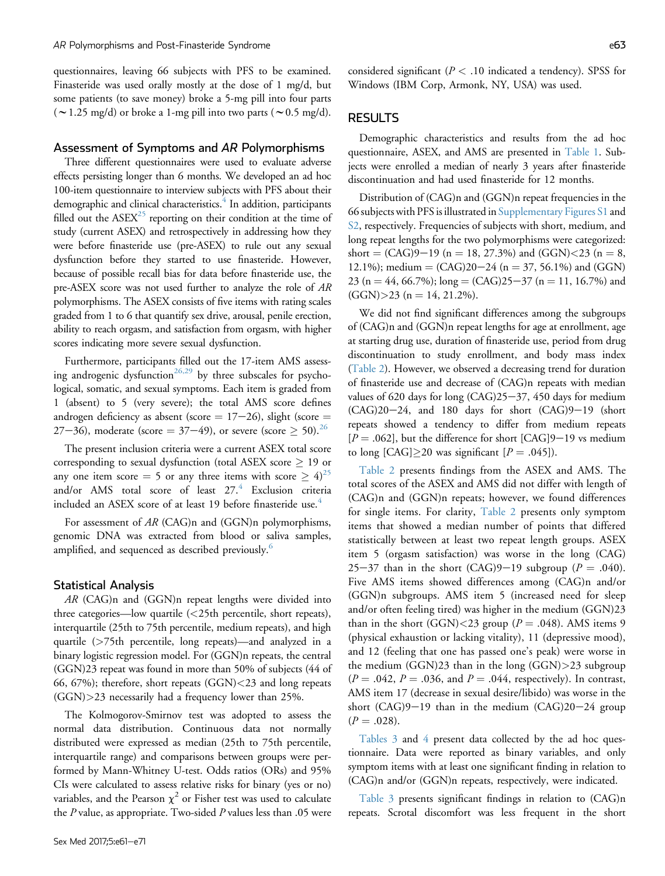questionnaires, leaving 66 subjects with PFS to be examined. Finasteride was used orally mostly at the dose of 1 mg/d, but some patients (to save money) broke a 5-mg pill into four parts ( $\sim$  1.25 mg/d) or broke a 1-mg pill into two parts ( $\sim$  0.5 mg/d).

#### Assessment of Symptoms and AR Polymorphisms

Three different questionnaires were used to evaluate adverse effects persisting longer than 6 months. We developed an ad hoc 100-item questionnaire to interview subjects with PFS about their demographic and clinical characteristics.<sup>4</sup> In addition, participants filled out the  $ASEX<sup>25</sup>$  $ASEX<sup>25</sup>$  $ASEX<sup>25</sup>$  reporting on their condition at the time of study (current ASEX) and retrospectively in addressing how they were before finasteride use (pre-ASEX) to rule out any sexual dysfunction before they started to use finasteride. However, because of possible recall bias for data before finasteride use, the pre-ASEX score was not used further to analyze the role of AR polymorphisms. The ASEX consists of five items with rating scales graded from 1 to 6 that quantify sex drive, arousal, penile erection, ability to reach orgasm, and satisfaction from orgasm, with higher scores indicating more severe sexual dysfunction.

Furthermore, participants filled out the 17-item AMS assess-ing androgenic dysfunction<sup>[26,29](#page-9-0)</sup> by three subscales for psychological, somatic, and sexual symptoms. Each item is graded from 1 (absent) to 5 (very severe); the total AMS score defines androgen deficiency as absent (score  $= 17-26$ ), slight (score  $=$ 27–36), moderate (score = 37–49), or severe (score  $\geq 50$ ).<sup>[26](#page-9-0)</sup>

The present inclusion criteria were a current ASEX total score corresponding to sexual dysfunction (total ASEX score  $\geq$  19 or any one item score = 5 or any three items with score  $\geq 4$ )<sup>[25](#page-9-0)</sup> and/or AMS total score of least 27.<sup>[4](#page-8-0)</sup> Exclusion criteria included an ASEX score of at least 19 before finasteride use.<sup>[4](#page-8-0)</sup>

For assessment of AR (CAG)n and (GGN)n polymorphisms, genomic DNA was extracted from blood or saliva samples, amplified, and sequenced as described previously.<sup>[6](#page-8-0)</sup>

#### Statistical Analysis

AR (CAG)n and (GGN)n repeat lengths were divided into three categories—low quartile (<25th percentile, short repeats), interquartile (25th to 75th percentile, medium repeats), and high quartile (>75th percentile, long repeats)—and analyzed in a binary logistic regression model. For (GGN)n repeats, the central (GGN)23 repeat was found in more than 50% of subjects (44 of 66, 67%); therefore, short repeats (GGN)<23 and long repeats (GGN)>23 necessarily had a frequency lower than 25%.

The Kolmogorov-Smirnov test was adopted to assess the normal data distribution. Continuous data not normally distributed were expressed as median (25th to 75th percentile, interquartile range) and comparisons between groups were performed by Mann-Whitney U-test. Odds ratios (ORs) and 95% CIs were calculated to assess relative risks for binary (yes or no) variables, and the Pearson  $\chi^2$  or Fisher test was used to calculate the  $P$  value, as appropriate. Two-sided  $P$  values less than .05 were

considered significant ( $P < .10$  indicated a tendency). SPSS for Windows (IBM Corp, Armonk, NY, USA) was used.

### **RESULTS**

Demographic characteristics and results from the ad hoc questionnaire, ASEX, and AMS are presented in [Table 1.](#page-3-0) Subjects were enrolled a median of nearly 3 years after finasteride discontinuation and had used finasteride for 12 months.

Distribution of (CAG)n and (GGN)n repeat frequencies in the 66 subjects with PFS is illustrated in Supplementary Figures S1 and S2, respectively. Frequencies of subjects with short, medium, and long repeat lengths for the two polymorphisms were categorized: short =  $(CAG)9-19$  (n = 18, 27.3%) and  $(GGN) < 23$  (n = 8, 12.1%); medium =  $(CAG)20-24$  (n = 37, 56.1%) and (GGN) 23 (n = 44, 66.7%); long = (CAG)25-37 (n = 11, 16.7%) and  $(GGN)$  > 23 (n = 14, 21.2%).

We did not find significant differences among the subgroups of (CAG)n and (GGN)n repeat lengths for age at enrollment, age at starting drug use, duration of finasteride use, period from drug discontinuation to study enrollment, and body mass index ([Table 2](#page-4-0)). However, we observed a decreasing trend for duration of finasteride use and decrease of (CAG)n repeats with median values of 620 days for long  $(CAG)25-37$ , 450 days for medium  $(CAG)20-24$ , and 180 days for short  $(CAG)9-19$  (short repeats showed a tendency to differ from medium repeats  $[P = .062]$ , but the difference for short [CAG]9-19 vs medium to long [CAG] $\geq$ 20 was significant [ $P = .045$ ]).

[Table 2](#page-4-0) presents findings from the ASEX and AMS. The total scores of the ASEX and AMS did not differ with length of (CAG)n and (GGN)n repeats; however, we found differences for single items. For clarity, [Table 2](#page-4-0) presents only symptom items that showed a median number of points that differed statistically between at least two repeat length groups. ASEX item 5 (orgasm satisfaction) was worse in the long (CAG) 25–37 than in the short (CAG)9–19 subgroup ( $P = .040$ ). Five AMS items showed differences among (CAG)n and/or (GGN)n subgroups. AMS item 5 (increased need for sleep and/or often feeling tired) was higher in the medium (GGN)23 than in the short (GGN) $<$ 23 group ( $P = .048$ ). AMS items 9 (physical exhaustion or lacking vitality), 11 (depressive mood), and 12 (feeling that one has passed one's peak) were worse in the medium (GGN)23 than in the long (GGN)>23 subgroup  $(P = .042, P = .036,$  and  $P = .044$ , respectively). In contrast, AMS item 17 (decrease in sexual desire/libido) was worse in the short  $(CAG)9-19$  than in the medium  $(CAG)20-24$  group  $(P = .028)$ .

[Tables 3](#page-5-0) and [4](#page-6-0) present data collected by the ad hoc questionnaire. Data were reported as binary variables, and only symptom items with at least one significant finding in relation to (CAG)n and/or (GGN)n repeats, respectively, were indicated.

[Table 3](#page-5-0) presents significant findings in relation to (CAG)n repeats. Scrotal discomfort was less frequent in the short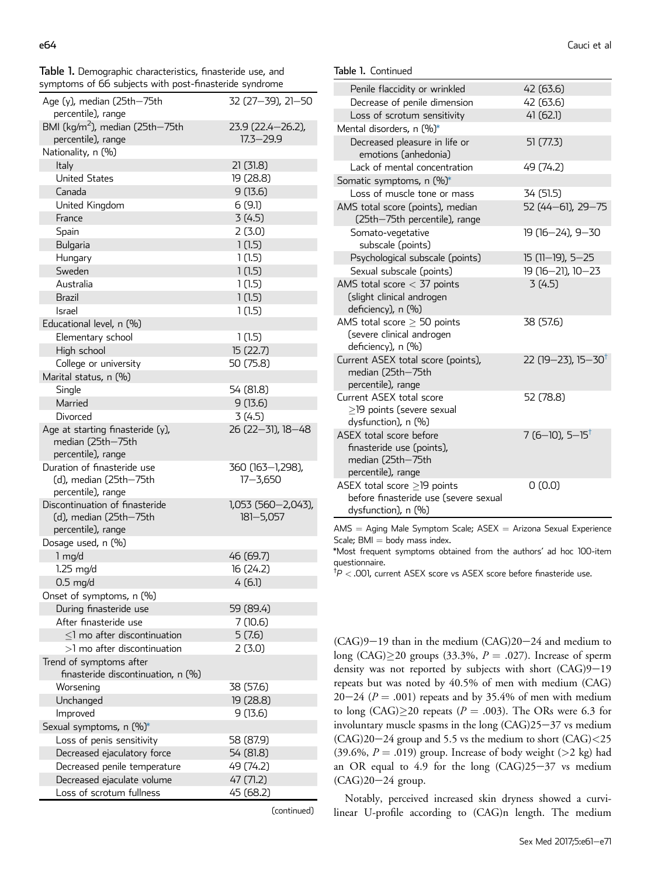<span id="page-3-0"></span>Table 1. Demographic characteristics, finasteride use, and symptoms of 66 subjects with post-finasteride syndrome

| symptoms of 66 subjects with post-finasteride syndrome |                                    |
|--------------------------------------------------------|------------------------------------|
| Age (y), median (25th-75th<br>percentile), range       | 32 (27-39), 21-50                  |
| BMI (kg/m <sup>2</sup> ), median (25th-75th            | 23.9 (22.4-26.2),<br>$17.3 - 29.9$ |
| percentile), range                                     |                                    |
| Nationality, n (%)                                     |                                    |
| Italy                                                  | 21(31.8)                           |
| <b>United States</b>                                   | 19 (28.8)                          |
| Canada                                                 | 9(13.6)                            |
| United Kingdom                                         | 6(9.1)                             |
| France                                                 | 3(4.5)                             |
| Spain                                                  | 2(3.0)                             |
| Bulgaria                                               | 1(1.5)                             |
| Hungary                                                | 1(1.5)                             |
| Sweden                                                 | 1(1.5)                             |
| Australia                                              | 1(1.5)                             |
| <b>Brazil</b>                                          | 1(1.5)                             |
| Israel                                                 | 1(1.5)                             |
| Educational level, n (%)                               |                                    |
| Elementary school                                      | 1(1.5)                             |
| High school                                            | 15 (22.7)                          |
| College or university                                  | 50 (75.8)                          |
| Marital status, n (%)                                  |                                    |
| Single                                                 | 54 (81.8)                          |
| Married                                                | 9(13.6)                            |
| Divorced                                               | 3(4.5)                             |
| Age at starting finasteride (y),                       | 26 (22-31), 18-48                  |
| median (25th-75th                                      |                                    |
| percentile), range                                     |                                    |
| Duration of finasteride use                            | 360 (163–1,298),                   |
| (d), median (25th-75th                                 | $17 - 3,650$                       |
| percentile), range                                     |                                    |
| Discontinuation of finasteride                         | 1,053 (560-2,043),                 |
| (d), median (25th-75th                                 | $181 - 5,057$                      |
| percentile), range                                     |                                    |
| Dosage used, n (%)                                     |                                    |
| $1$ mg/d                                               | 46 (69.7)                          |
| $1.25$ mg/d                                            | 16 (24.2)                          |
| $0.5 \text{ mg/d}$                                     | 4 (6.1)                            |
| Onset of symptoms, n (%)                               |                                    |
| During finasteride use                                 | 59 (89.4)                          |
| After finasteride use                                  | 7 (10.6)                           |
| $<$ 1 mo after discontinuation                         | 5(7.6)                             |
| $>1$ mo after discontinuation                          | 2(3.0)                             |
| Trend of symptoms after                                |                                    |
| finasteride discontinuation, n (%)                     |                                    |
| Worsening                                              | 38 (57.6)                          |
| Unchanged                                              | 19 (28.8)                          |
| Improved                                               | 9(13.6)                            |
| Sexual symptoms, n (%)*                                |                                    |
| Loss of penis sensitivity                              | 58 (87.9)                          |

Decreased ejaculatory force 54 (81.8) Decreased penile temperature 49 (74.2) Decreased ejaculate volume 47 (71.2) Loss of scrotum fullness 45 (68.2)

(continued)

| Table 1. Continued |
|--------------------|
|--------------------|

| Penile flaccidity or wrinkled                                                                     | 42 (63.6)                      |
|---------------------------------------------------------------------------------------------------|--------------------------------|
| Decrease of penile dimension                                                                      | 42 (63.6)                      |
| Loss of scrotum sensitivity                                                                       | 41(62.1)                       |
| Mental disorders, n (%)*                                                                          |                                |
| Decreased pleasure in life or<br>emotions (anhedonia)                                             | 51(77.3)                       |
| Lack of mental concentration                                                                      | 49 (74.2)                      |
| Somatic symptoms, n (%)*                                                                          |                                |
| Loss of muscle tone or mass                                                                       | 34 (51.5)                      |
| AMS total score (points), median<br>(25th-75th percentile), range                                 | 52 (44-61), 29-75              |
| Somato-vegetative<br>subscale (points)                                                            | 19 (16-24), 9-30               |
| Psychological subscale (points)                                                                   | 15 (11-19), 5-25               |
| Sexual subscale (points)                                                                          | 19 (16-21), 10-23              |
| AMS total score $<$ 37 points<br>(slight clinical androgen<br>deficiency), n (%)                  | 3(4.5)                         |
| AMS total score $\geq$ 50 points<br>(severe clinical androgen<br>deficiency), n (%)               | 38 (57.6)                      |
| Current ASEX total score (points),<br>median (25th-75th<br>percentile), range                     | 22 (19–23), 15–30 <sup>†</sup> |
| Current ASEX total score<br>>19 points (severe sexual<br>dysfunction), n (%)                      | 52 (78.8)                      |
| ASEX total score before<br>finasteride use (points),<br>median (25th–75th<br>percentile), range   | 7 (6–10), 5–15 <sup>†</sup>    |
| ASEX total score $\geq$ 19 points<br>before finasteride use (severe sexual<br>dysfunction), n (%) | 0(0.0)                         |

 $AMS =$  Aging Male Symptom Scale;  $ASEX =$  Arizona Sexual Experience Scale;  $BMI = body$  mass index.

\*Most frequent symptoms obtained from the authors' ad hoc 100-item questionnaire.

 $^\dagger\!P$   $<$  .001, current ASEX score vs ASEX score before finasteride use.

 $(CAG)9-19$  than in the medium  $(CAG)20-24$  and medium to long (CAG) $\geq$ 20 groups (33.3%,  $P = .027$ ). Increase of sperm density was not reported by subjects with short  $(CAG)9-19$ repeats but was noted by 40.5% of men with medium (CAG)  $20-24$  ( $P = .001$ ) repeats and by 35.4% of men with medium to long (CAG) $\geq$ 20 repeats (*P* = .003). The ORs were 6.3 for involuntary muscle spasms in the long  $(CAG)25-37$  vs medium  $(CAG)20-24$  group and 5.5 vs the medium to short  $(CAG) < 25$ (39.6%,  $P = .019$ ) group. Increase of body weight (>2 kg) had an OR equal to 4.9 for the long  $(CAG)25-37$  vs medium  $(CAG)20-24$  group.

Notably, perceived increased skin dryness showed a curvilinear U-profile according to (CAG)n length. The medium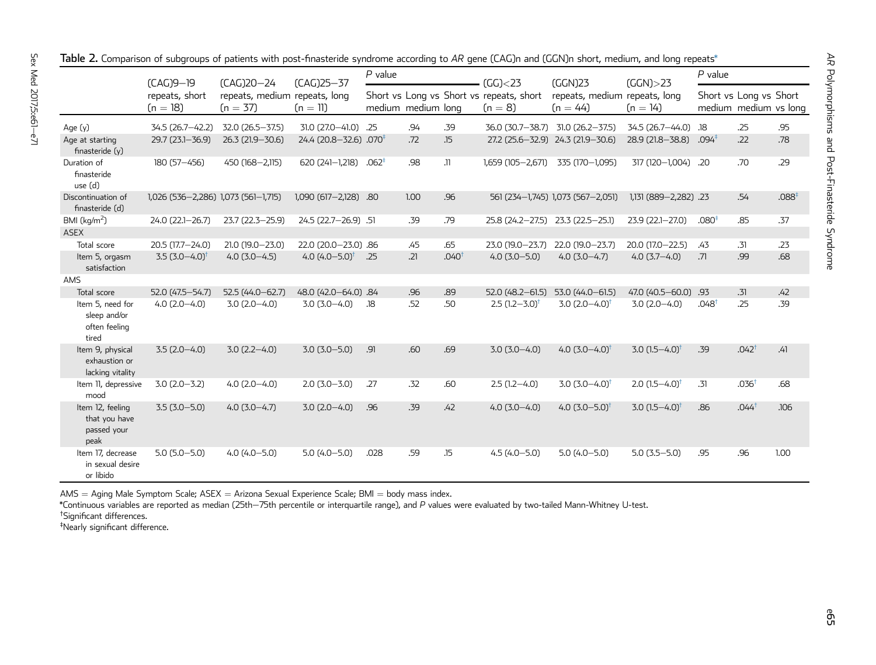|                                                            | $(CAG)9-19$                         | (CAG)20-24                                  | (CAG)25-37                         | $P$ value          |      | (GG) < 23         | (GGN)23                                               | $(GGN)$ $>$ 23                              | $P$ value                   |                   |                                                 |      |
|------------------------------------------------------------|-------------------------------------|---------------------------------------------|------------------------------------|--------------------|------|-------------------|-------------------------------------------------------|---------------------------------------------|-----------------------------|-------------------|-------------------------------------------------|------|
|                                                            | repeats, short<br>$(n = 18)$        | repeats, medium repeats, long<br>$(n = 37)$ | $(n = 11)$                         | medium medium long |      |                   | Short vs Long vs Short vs repeats, short<br>$(n = 8)$ | repeats, medium repeats, long<br>$(n = 44)$ | $(n = 14)$                  |                   | Short vs Long vs Short<br>medium medium vs long |      |
| Age (y)                                                    | 34.5 (26.7-42.2)                    | 32.0 (26.5-37.5)                            | 31.0 (27.0-41.0) .25               |                    | .94  | .39               |                                                       | 36.0 (30.7-38.7) 31.0 (26.2-37.5)           | 34.5 (26.7-44.0)            | .18               | .25                                             | .95  |
| Age at starting<br>finasteride (y)                         | 29.7 (23.1-36.9)                    | 26.3 (21.9-30.6)                            | 24.4 (20.8-32.6) .070 <sup>+</sup> |                    | .72  | .15               |                                                       | 27.2 (25.6-32.9) 24.3 (21.9-30.6)           | 28.9 (21.8-38.8)            | $.094^{\ddagger}$ | .22                                             | .78  |
| Duration of<br>finasteride<br>use (d)                      | 180 (57-456)                        | 450 (168-2,115)                             | 620 (241-1,218)                    | .062 <sup>†</sup>  | .98  | .11               | 1,659 (105-2,671)                                     | 335 (170-1,095)                             | 317 (120-1,004) .20         |                   | .70                                             | .29  |
| Discontinuation of<br>finasteride (d)                      | 1,026 (536-2,286) 1,073 (561-1,715) |                                             | 1,090 (617-2,128) .80              |                    | 1.00 | .96               |                                                       | 561 (234-1,745) 1,073 (567-2,051)           | 1,131 (889-2,282) .23       |                   | .54                                             | .088 |
| BMI $(kg/m2)$<br><b>ASEX</b>                               | 24.0 (22.1-26.7)                    | 23.7 (22.3-25.9)                            | 24.5 (22.7-26.9) .51               |                    | .39  | .79               | 25.8 (24.2-27.5) 23.3 (22.5-25.1)                     |                                             | 23.9 (22.1-27.0)            | .080 <sup>‡</sup> | .85                                             | .37  |
| Total score                                                | 20.5 (17.7-24.0)                    | 21.0 (19.0-23.0)                            | 22.0 (20.0-23.0) .86               |                    | .45  | .65               | 23.0 (19.0-23.7)                                      | 22.0 (19.0-23.7)                            | 20.0 (17.0-22.5)            | .43               | .31                                             | .23  |
| Item 5, orgasm<br>satisfaction                             | $3.5(3.0-4.0)^{\dagger}$            | $4.0(3.0-4.5)$                              | 4.0 $(4.0 - 5.0)^{\dagger}$        | .25                | .21  | .040 <sup>†</sup> | $4.0(3.0 - 5.0)$                                      | $4.0(3.0-4.7)$                              | $4.0(3.7 - 4.0)$            | .71               | .99                                             | .68  |
| AMS                                                        |                                     |                                             |                                    |                    |      |                   |                                                       |                                             |                             |                   |                                                 |      |
| Total score                                                | 52.0 (47.5-54.7)                    | $52.5(44.0 - 62.7)$                         | 48.0 (42.0-64.0) .84               |                    | .96  | .89               |                                                       | $52.0$ (48.2-61.5) $53.0$ (44.0-61.5)       | 47.0 (40.5-60.0) .93        |                   | .31                                             | .42  |
| Item 5, need for<br>sleep and/or<br>often feeling<br>tired | $4.0(2.0-4.0)$                      | $3.0(2.0-4.0)$                              | $3.0(3.0-4.0)$                     | .18                | .52  | .50               | $2.5$ (1.2–3.0) <sup>†</sup>                          | $3.0(2.0-4.0)^{\dagger}$                    | $3.0(2.0-4.0)$              | .048 <sup>†</sup> | .25                                             | .39  |
| Item 9, physical<br>exhaustion or<br>lacking vitality      | $3.5(2.0-4.0)$                      | $3.0(2.2 - 4.0)$                            | $3.0(3.0 - 5.0)$                   | .91                | .60  | .69               | $3.0(3.0-4.0)$                                        | 4.0 $(3.0 - 4.0)^{\dagger}$                 | 3.0 $(1.5 - 4.0)^{\dagger}$ | .39               | .042 <sup>†</sup>                               | .41  |
| Item 11, depressive<br>mood                                | $3.0(2.0 - 3.2)$                    | $4.0(2.0 - 4.0)$                            | $2.0(3.0 - 3.0)$                   | .27                | .32  | .60               | $2.5$ (1.2-4.0)                                       | $3.0 (3.0 - 4.0)^{\dagger}$                 | 2.0 $(1.5 - 4.0)^{\dagger}$ | .31               | .036 <sup>1</sup>                               | .68  |
| Item 12, feeling<br>that you have<br>passed your<br>peak   | $3.5(3.0 - 5.0)$                    | $4.0(3.0-4.7)$                              | $3.0(2.0-4.0)$                     | .96                | .39  | .42               | $4.0(3.0 - 4.0)$                                      | 4.0 $(3.0 - 5.0)^{\dagger}$                 | $3.0$ $(1.5 - 4.0)$         | .86               | .044 <sup>†</sup>                               | .106 |
| Item 17, decrease<br>in sexual desire<br>or libido         | $5.0(5.0 - 5.0)$                    | $4.0(4.0 - 5.0)$                            | $5.0(4.0 - 5.0)$                   | .028               | .59  | .15               | $4.5(4.0 - 5.0)$                                      | $5.0(4.0 - 5.0)$                            | $5.0(3.5 - 5.0)$            | .95               | .96                                             | 1.00 |

<span id="page-4-0"></span>**Table 2.** Comparison of subgroups of patients with post-finasteride syndrome according to AR gene (CAG)n and (GGN)n short, medium, and long repeats\*

AMS  $=$  Aging Male Symptom Scale; ASEX  $=$  Arizona Sexual Experience Scale; BMI  $=$  body mass index.

\*Continuous variables are reported as median (25the75th percentile or interquartile range), and P values were evaluated by two-tailed Mann-Whitney U-test.

†Significant differences.

‡Nearly significant difference.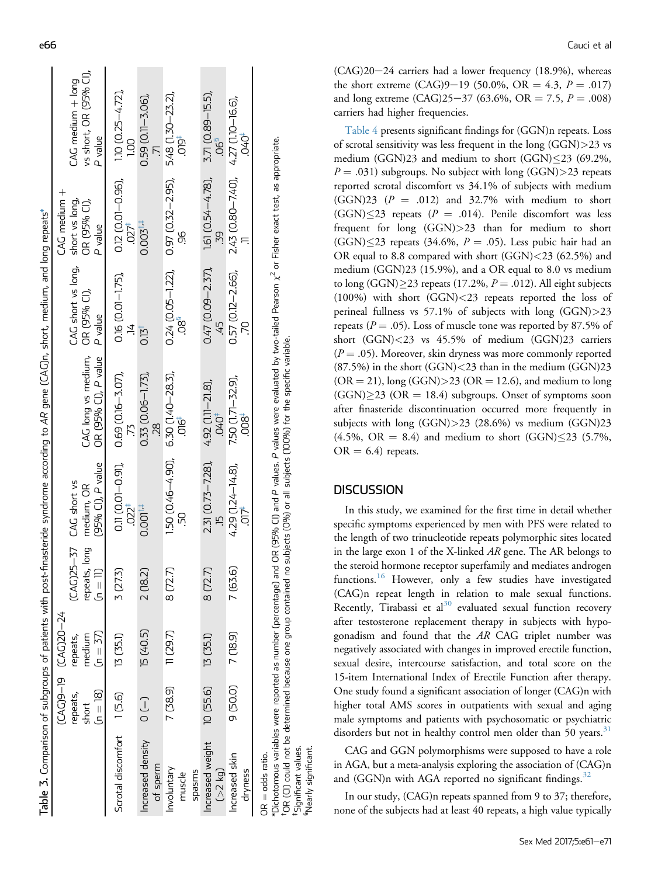|                           |                     |                   |                       |                          | Table 3. Comparison of subgroups of patients with post-finasteride syndrome according to AR gene (CAC)n, short, medium, and long repeats*                                              |                          |                                                                             |                           |
|---------------------------|---------------------|-------------------|-----------------------|--------------------------|----------------------------------------------------------------------------------------------------------------------------------------------------------------------------------------|--------------------------|-----------------------------------------------------------------------------|---------------------------|
|                           |                     | LCAG04 U-60320-24 |                       |                          |                                                                                                                                                                                        |                          | CAG medium +                                                                |                           |
|                           | repeats,            | repeats,          | CAG25-37 CAG short vs |                          |                                                                                                                                                                                        | CAG short vs long,       | short vs long,                                                              | $CAG$ medium $+$ long     |
|                           | short               | medium            | long<br>repeats,      | medium, OR               | CAG long vs medium, OR (95% Cl),                                                                                                                                                       |                          | OR (95% CI),                                                                | vs short, OR (95% CI),    |
|                           | $(n = 18)$          | $(n = 37)$        | 目<br>こ                | (95% Cl), P value        | OR (95% Cl), P value                                                                                                                                                                   | P value                  | P value                                                                     | P value                   |
| Scrotal discomfort 1[5.6] |                     | 13 (35.1)         | 3 (27.3)              | $0.11$ $(0.01 - 0.91)$ , | $0.69$ $(0.16 - 3.07)$ ,                                                                                                                                                               | $0.16$ $(0.01 - 1.75)$ , | $0.12$ $(0.01 - 0.96)$ ,                                                    | $110(0.25 - 4.72)$        |
|                           |                     |                   |                       | $.022$ <sup>#</sup>      | Ľ.                                                                                                                                                                                     | Ż.                       | .027                                                                        | $\frac{0}{1}$             |
| Increased density         | $\bigcup_{i=1}^{n}$ | <b>15 (40.5)</b>  | 2 (18.2)              | 0.001 <sup>†</sup>       | $0.33(0.06 - 1.73)$                                                                                                                                                                    | 0.15 <sup>†</sup>        | 0.003 <sup>†</sup>                                                          | $0.59$ ( $0.11 - 3.06$ ), |
| of sperm                  |                     |                   |                       |                          | RZ.                                                                                                                                                                                    |                          |                                                                             |                           |
| Involuntary               | 7 (38.9)            | 11 (29.7)         | 8 (72.7               | $150(0.46 - 4.90)$       | $6.30$ $(1.40 - 28.3)$                                                                                                                                                                 |                          | $0.24$ ( $0.05 - 1.22$ ), $0.97$ ( $0.32 - 2.95$ ), $5.48$ (1.30 $-23.2$ ), |                           |
| muscle                    |                     |                   |                       |                          | ipt.                                                                                                                                                                                   | ში.<br>ი                 | த்                                                                          | igic                      |
| spasms                    |                     |                   |                       |                          |                                                                                                                                                                                        |                          |                                                                             |                           |
| Increased weight          | 10 (55.6)           | 13 (35.1)         | 8 (72.7)              | 2.31 (0.73 - 7.28),      | $4.92$ $(1.11 - 21.8)$ ,                                                                                                                                                               |                          | $0.47$ (0.09-2.37), 1.61 (0.54-4.78),                                       | 3.71 (0.89-15.5),         |
| $>2$ kg)                  |                     |                   |                       |                          | -040                                                                                                                                                                                   |                          | m                                                                           | .06ª                      |
| Increased skin            | 9 (50.0)            | 7 (18.9)          | 7 (63.6               | $4.29$ $(1.24 - 14.8)$ , | 7.50 (1.71 - 32.9),                                                                                                                                                                    | $0.57(0.12 - 2.66)$      | $2.43$ (0.80 - 7.40), $4.27$ (1.10 - 16.6),                                 |                           |
| dryness                   |                     |                   |                       | ħ                        | $008^+$                                                                                                                                                                                |                          |                                                                             | -040                      |
| $OR = odds$ ratio.        |                     |                   |                       |                          |                                                                                                                                                                                        |                          |                                                                             |                           |
|                           |                     |                   |                       |                          | *Dichotomous variables were reported as number (percentage) and OR (95% CI) and P values. P values were evaluated by two-tailed Pearson $\chi^2$ or Fisher exact test, as appropriate. |                          |                                                                             |                           |

Significant values.

Nearly significant.

OR (CI) could not be determined because one group contained no subjects (0%) or all subjects (100%) for the specific variable. †OR (CI) could not be determined because one group contained no subjects (0%) or all subjects (100%) for the specific variable.<br>†Significant values.<br>§Nearly significant.

<span id="page-5-0"></span>e66 Cauci et al

 $(CAG)20-24$  carriers had a lower frequency (18.9%), whereas the short extreme (CAG)9-19 (50.0%, OR = 4.3,  $P = .017$ ) and long extreme  $(CAG)25-37$  (63.6%, OR = 7.5, P = .008) carriers had higher frequencies.

[Table 4](#page-6-0) presents significant findings for (GGN)n repeats. Loss of scrotal sensitivity was less frequent in the long  $(GGN)$  > 23 vs medium (GGN)23 and medium to short (GGN) $\leq$ 23 (69.2%,  $P = .031$ ) subgroups. No subject with long (GGN)>23 repeats reported scrotal discomfort vs 34.1% of subjects with medium  $(GGN)23$   $(P = .012)$  and 32.7% with medium to short  $(GGN) \leq 23$  repeats (P = .014). Penile discomfort was less frequent for long (GGN)>23 than for medium to short  $(GGN) \leq 23$  repeats (34.6%,  $P = .05$ ). Less pubic hair had an OR equal to 8.8 compared with short (GGN)<23 (62.5%) and medium (GGN)23 (15.9%), and a OR equal to 8.0 vs medium to long (GGN) $\geq$ 23 repeats (17.2%,  $P = .012$ ). All eight subjects (100%) with short (GGN)<23 repeats reported the loss of perineal fullness vs  $57.1\%$  of subjects with long  $(GGN) > 23$ repeats ( $P = .05$ ). Loss of muscle tone was reported by 87.5% of short (GGN)<23 vs 45.5% of medium (GGN)23 carriers  $(P = .05)$ . Moreover, skin dryness was more commonly reported  $(87.5%)$  in the short  $(GGN) < 23$  than in the medium  $(GGN)23$  $(OR = 21)$ , long  $(GGN) > 23$   $(OR = 12.6)$ , and medium to long  $(GGN) \geq 23$  (OR = 18.4) subgroups. Onset of symptoms soon after finasteride discontinuation occurred more frequently in subjects with long (GGN)>23 (28.6%) vs medium (GGN)23  $(4.5\%, \text{ OR} = 8.4)$  and medium to short  $(GGN) \leq 23$  (5.7%,  $OR = 6.4$ ) repeats.

## **DISCUSSION**

In this study, we examined for the first time in detail whether specific symptoms experienced by men with PFS were related to the length of two trinucleotide repeats polymorphic sites located in the large exon 1 of the X-linked AR gene. The AR belongs to the steroid hormone receptor superfamily and mediates androgen functions.<sup>[16](#page-9-0)</sup> However, only a few studies have investigated (CAG)n repeat length in relation to male sexual functions. Recently, Tirabassi et al $30$  evaluated sexual function recovery after testosterone replacement therapy in subjects with hypogonadism and found that the AR CAG triplet number was negatively associated with changes in improved erectile function, sexual desire, intercourse satisfaction, and total score on the 15-item International Index of Erectile Function after therapy. One study found a significant association of longer (CAG)n with higher total AMS scores in outpatients with sexual and aging male symptoms and patients with psychosomatic or psychiatric disorders but not in healthy control men older than 50 years.<sup>[31](#page-9-0)</sup>

CAG and GGN polymorphisms were supposed to have a role in AGA, but a meta-analysis exploring the association of (CAG)n and (GGN)n with AGA reported no significant findings.<sup>[32](#page-9-0)</sup>

In our study, (CAG)n repeats spanned from 9 to 37; therefore, none of the subjects had at least 40 repeats, a high value typically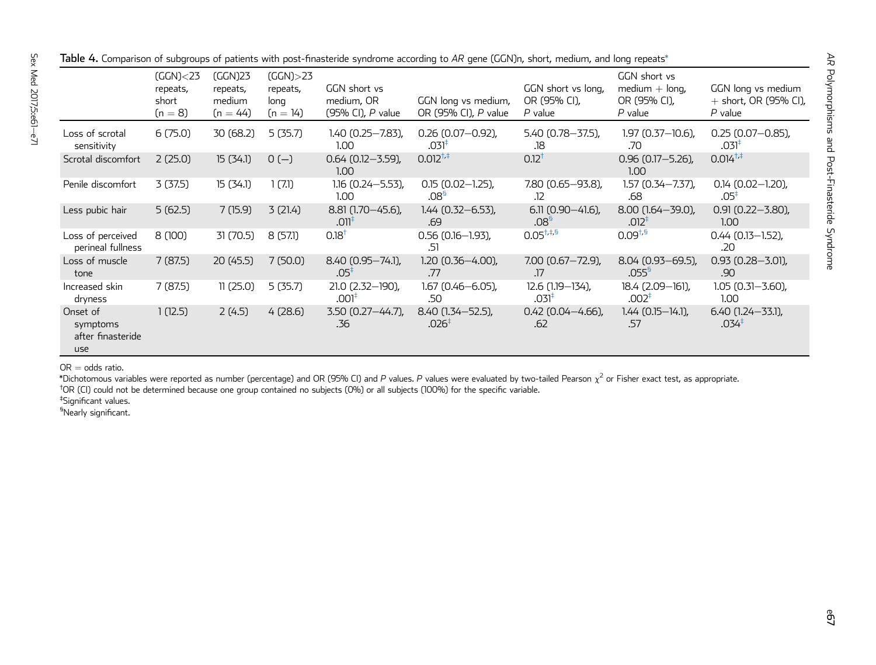|                                                  | (GGN) <sub>23</sub><br>repeats,<br>short<br>$(n = 8)$ | (GGN)23<br>repeats,<br>medium<br>$(n = 44)$ | $(GGN)$ > 23<br>repeats,<br>long<br>$(n = 14)$ | GGN short vs<br>medium, OR<br>(95% CI), P value | GGN long vs medium,<br>OR (95% CI), P value | GGN short vs long,<br>OR (95% CI),<br>$P$ value | GGN short vs<br>$median + long$ ,<br>OR (95% CI),<br>$P$ value | GGN long vs medium<br>$+$ short, OR (95% CI),<br>$P$ value |
|--------------------------------------------------|-------------------------------------------------------|---------------------------------------------|------------------------------------------------|-------------------------------------------------|---------------------------------------------|-------------------------------------------------|----------------------------------------------------------------|------------------------------------------------------------|
| Loss of scrotal<br>sensitivity                   | 6(75.0)                                               | 30 (68.2)                                   | 5(35.7)                                        | $1.40(0.25 - 7.83)$ ,<br>1.00                   | $0.26$ (0.07-0.92),<br>.031 <sup>‡</sup>    | $5.40(0.78 - 37.5)$ ,<br>.18                    | $1.97(0.37 - 10.6)$ ,<br>.70                                   | $0.25(0.07 - 0.85)$ ,<br>.031 <sup>#</sup>                 |
| Scrotal discomfort                               | 2(25.0)                                               | 15(34.1)                                    | $0(-)$                                         | $0.64$ (0.12-3.59),<br>1.00 <sub>1</sub>        | $0.012^{+,}$                                | $0.12^{+}$                                      | $0.96$ (0.17-5.26),<br>1.00 <sub>1</sub>                       | $0.014^{\dagger,*}$                                        |
| Penile discomfort                                | 3(37.5)                                               | 15(34.1)                                    | 1(7.1)                                         | $1.16$ (0.24 - 5.53),<br>1.00                   | $0.15(0.02 - 1.25)$ ,<br>.08 <sup>5</sup>   | 7.80 (0.65-93.8),<br>.12                        | $1.57(0.34 - 7.37)$ ,<br>.68                                   | $0.14$ (0.02-1.20),<br>$.05^*$                             |
| Less pubic hair                                  | 5(62.5)                                               | 7(15.9)                                     | 3(21.4)                                        | $8.81(1.70 - 45.6)$ ,<br>.011                   | $1.44$ (0.32-6.53),<br>.69                  | $6.11(0.90 - 41.6)$ ,<br>.08 <sup>5</sup>       | 8.00 (1.64 - 39.0),<br>.012 <sup>‡</sup>                       | $0.91(0.22 - 3.80)$<br>1.00 <sub>1</sub>                   |
| Loss of perceived<br>perineal fullness           | 8 (100)                                               | 31 (70.5)                                   | 8(57!)                                         | $0.18^{+}$                                      | $0.56$ (0.16-1.93),<br>.51                  | $0.05^{+,4.5}$                                  | $0.09^{+,5}$                                                   | $0.44$ (0.13-1.52),<br>.20                                 |
| Loss of muscle<br>tone                           | 7(87.5)                                               | 20 (45.5)                                   | 7(50.0)                                        | 8.40 (0.95 - 74.1),<br>$.05^*$                  | 1.20 (0.36-4.00),<br>.77                    | $7.00$ (0.67 $-72.9$ ),<br>.17                  | 8.04 (0.93 - 69.5),<br>.055 <sup>5</sup>                       | $0.93$ $(0.28 - 3.01)$ ,<br>.90                            |
| Increased skin<br>dryness                        | 7(87.5)                                               | 11(25.0)                                    | 5(35.7)                                        | 21.0 (2.32-190),<br>.001 <sup>‡</sup>           | $1.67(0.46 - 6.05)$ ,<br>.50                | 12.6 (1.19 - 134),<br>$.031*$                   | 18.4 (2.09-161),<br>.002 <sup>†</sup>                          | $1.05(0.31 - 3.60)$ ,<br>1.00                              |
| Onset of<br>symptoms<br>after finasteride<br>use | 1(12.5)                                               | 2(4.5)                                      | 4(28.6)                                        | $3.50$ (0.27 - 44.7),<br>.36                    | 8.40 (1.34 - 52.5),<br>.026 <sup>‡</sup>    | $0.42$ (0.04-4.66),<br>.62                      | $1.44$ (0.15-14.1),<br>.57                                     | $6.40$ (1.24 - 33.1),<br>.034 <sup>†</sup>                 |

<span id="page-6-0"></span> ${\sf Table~4.}$  Comparison of subgroups of patients with post-finasteride syndrome according to  $AR$  gene (GGN)n, short, medium, and long repeats\*

 $\mathsf{OR} = \mathsf{odds}$  ratio.

\*Dichotomous variables were reported as number (percentage) and OR (95% CI) and P values. P values were evaluated by two-tailed Pearson  $\chi^2$  or Fisher exact test, as appropriate.

†OR (CI) could not be determined because one group contained no subjects (0%) or all subjects (100%) for the specifi<sup>c</sup> variable.

‡Significant values.

§Nearly significant.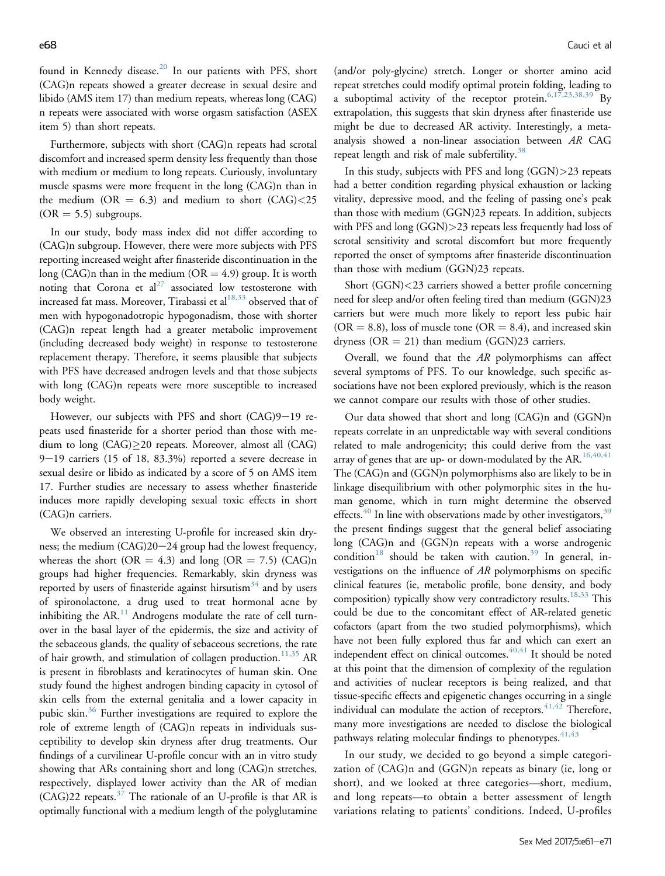found in Kennedy disease.<sup>[20](#page-9-0)</sup> In our patients with PFS, short (CAG)n repeats showed a greater decrease in sexual desire and libido (AMS item 17) than medium repeats, whereas long (CAG) n repeats were associated with worse orgasm satisfaction (ASEX item 5) than short repeats.

Furthermore, subjects with short (CAG)n repeats had scrotal discomfort and increased sperm density less frequently than those with medium or medium to long repeats. Curiously, involuntary muscle spasms were more frequent in the long (CAG)n than in the medium (OR  $= 6.3$ ) and medium to short (CAG)<25  $(OR = 5.5)$  subgroups.

In our study, body mass index did not differ according to (CAG)n subgroup. However, there were more subjects with PFS reporting increased weight after finasteride discontinuation in the long (CAG)n than in the medium (OR  $=$  4.9) group. It is worth noting that Corona et  $al^{27}$  $al^{27}$  $al^{27}$  associated low testosterone with increased fat mass. Moreover, Tirabassi et al $^{18,33}$  $^{18,33}$  $^{18,33}$  observed that of men with hypogonadotropic hypogonadism, those with shorter (CAG)n repeat length had a greater metabolic improvement (including decreased body weight) in response to testosterone replacement therapy. Therefore, it seems plausible that subjects with PFS have decreased androgen levels and that those subjects with long (CAG)n repeats were more susceptible to increased body weight.

However, our subjects with PFS and short  $(CAG)9-19$  repeats used finasteride for a shorter period than those with medium to long (CAG)-20 repeats. Moreover, almost all (CAG)  $9-19$  carriers (15 of 18, 83.3%) reported a severe decrease in sexual desire or libido as indicated by a score of 5 on AMS item 17. Further studies are necessary to assess whether finasteride induces more rapidly developing sexual toxic effects in short (CAG)n carriers.

We observed an interesting U-profile for increased skin dryness; the medium  $(CAG)20-24$  group had the lowest frequency, whereas the short (OR = 4.3) and long (OR = 7.5) (CAG)n groups had higher frequencies. Remarkably, skin dryness was reported by users of finasteride against hirsutism<sup>[34](#page-9-0)</sup> and by users of spironolactone, a drug used to treat hormonal acne by inhibiting the AR. $<sup>11</sup>$  $<sup>11</sup>$  $<sup>11</sup>$  Androgens modulate the rate of cell turn-</sup> over in the basal layer of the epidermis, the size and activity of the sebaceous glands, the quality of sebaceous secretions, the rate of hair growth, and stimulation of collagen production.<sup>[11,35](#page-9-0)</sup> AR is present in fibroblasts and keratinocytes of human skin. One study found the highest androgen binding capacity in cytosol of skin cells from the external genitalia and a lower capacity in pubic skin.<sup>[36](#page-9-0)</sup> Further investigations are required to explore the role of extreme length of (CAG)n repeats in individuals susceptibility to develop skin dryness after drug treatments. Our findings of a curvilinear U-profile concur with an in vitro study showing that ARs containing short and long (CAG)n stretches, respectively, displayed lower activity than the AR of median  $(CAG)22$  repeats.<sup>[37](#page-9-0)</sup> The rationale of an U-profile is that AR is optimally functional with a medium length of the polyglutamine

(and/or poly-glycine) stretch. Longer or shorter amino acid repeat stretches could modify optimal protein folding, leading to a suboptimal activity of the receptor protein.  $6,17,23,38,39$  By extrapolation, this suggests that skin dryness after finasteride use might be due to decreased AR activity. Interestingly, a metaanalysis showed a non-linear association between AR CAG repeat length and risk of male subfertility.<sup>[38](#page-10-0)</sup>

In this study, subjects with PFS and long (GGN)>23 repeats had a better condition regarding physical exhaustion or lacking vitality, depressive mood, and the feeling of passing one's peak than those with medium (GGN)23 repeats. In addition, subjects with PFS and long (GGN)>23 repeats less frequently had loss of scrotal sensitivity and scrotal discomfort but more frequently reported the onset of symptoms after finasteride discontinuation than those with medium (GGN)23 repeats.

Short (GGN)<23 carriers showed a better profile concerning need for sleep and/or often feeling tired than medium (GGN)23 carriers but were much more likely to report less pubic hair  $(OR = 8.8)$ , loss of muscle tone  $(OR = 8.4)$ , and increased skin dryness ( $OR = 21$ ) than medium (GGN)23 carriers.

Overall, we found that the AR polymorphisms can affect several symptoms of PFS. To our knowledge, such specific associations have not been explored previously, which is the reason we cannot compare our results with those of other studies.

Our data showed that short and long (CAG)n and (GGN)n repeats correlate in an unpredictable way with several conditions related to male androgenicity; this could derive from the vast array of genes that are up- or down-modulated by the AR.<sup>[16,40,41](#page-9-0)</sup> The (CAG)n and (GGN)n polymorphisms also are likely to be in linkage disequilibrium with other polymorphic sites in the human genome, which in turn might determine the observed effects. $40$  In line with observations made by other investigators,  $39$ the present findings suggest that the general belief associating long (CAG)n and (GGN)n repeats with a worse androgenic condition<sup>[18](#page-9-0)</sup> should be taken with caution.<sup>[39](#page-10-0)</sup> In general, investigations on the influence of AR polymorphisms on specific clinical features (ie, metabolic profile, bone density, and body composition) typically show very contradictory results.<sup>[18,33](#page-9-0)</sup> This could be due to the concomitant effect of AR-related genetic cofactors (apart from the two studied polymorphisms), which have not been fully explored thus far and which can exert an independent effect on clinical outcomes.<sup>[40,41](#page-10-0)</sup> It should be noted at this point that the dimension of complexity of the regulation and activities of nuclear receptors is being realized, and that tissue-specific effects and epigenetic changes occurring in a single individual can modulate the action of receptors.  $41,42$  Therefore, many more investigations are needed to disclose the biological pathways relating molecular findings to phenotypes.  $41,43$ 

In our study, we decided to go beyond a simple categorization of (CAG)n and (GGN)n repeats as binary (ie, long or short), and we looked at three categories—short, medium, and long repeats—to obtain a better assessment of length variations relating to patients' conditions. Indeed, U-profiles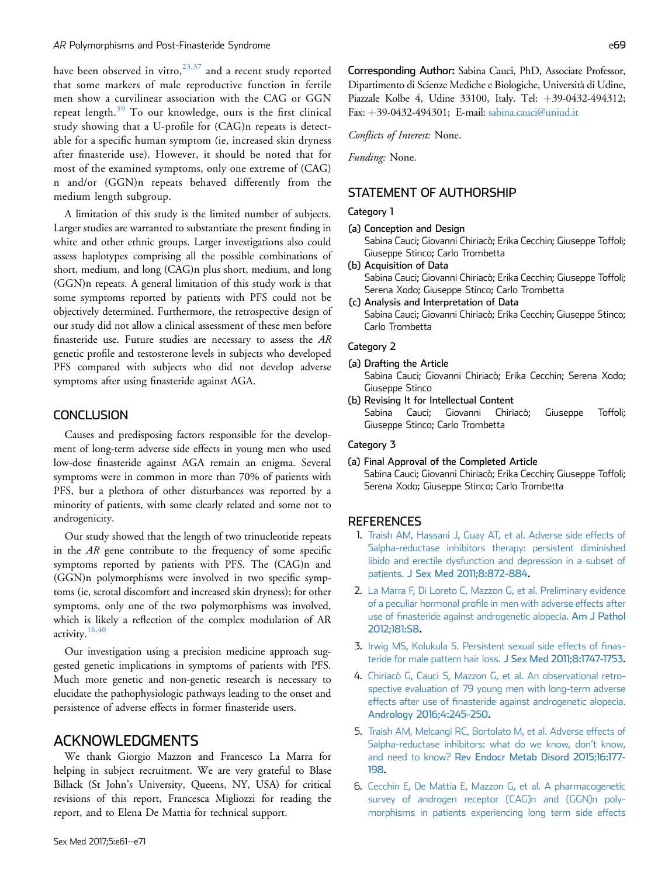<span id="page-8-0"></span>have been observed in vitro,  $23,37$  and a recent study reported that some markers of male reproductive function in fertile men show a curvilinear association with the CAG or GGN repeat length.[39](#page-10-0) To our knowledge, ours is the first clinical study showing that a U-profile for (CAG)n repeats is detectable for a specific human symptom (ie, increased skin dryness after finasteride use). However, it should be noted that for most of the examined symptoms, only one extreme of (CAG) n and/or (GGN)n repeats behaved differently from the medium length subgroup.

A limitation of this study is the limited number of subjects. Larger studies are warranted to substantiate the present finding in white and other ethnic groups. Larger investigations also could assess haplotypes comprising all the possible combinations of short, medium, and long (CAG)n plus short, medium, and long (GGN)n repeats. A general limitation of this study work is that some symptoms reported by patients with PFS could not be objectively determined. Furthermore, the retrospective design of our study did not allow a clinical assessment of these men before finasteride use. Future studies are necessary to assess the AR genetic profile and testosterone levels in subjects who developed PFS compared with subjects who did not develop adverse symptoms after using finasteride against AGA.

### **CONCLUSION**

Causes and predisposing factors responsible for the development of long-term adverse side effects in young men who used low-dose finasteride against AGA remain an enigma. Several symptoms were in common in more than 70% of patients with PFS, but a plethora of other disturbances was reported by a minority of patients, with some clearly related and some not to androgenicity.

Our study showed that the length of two trinucleotide repeats in the AR gene contribute to the frequency of some specific symptoms reported by patients with PFS. The (CAG)n and (GGN)n polymorphisms were involved in two specific symptoms (ie, scrotal discomfort and increased skin dryness); for other symptoms, only one of the two polymorphisms was involved, which is likely a reflection of the complex modulation of AR activity.[16,40](#page-9-0)

Our investigation using a precision medicine approach suggested genetic implications in symptoms of patients with PFS. Much more genetic and non-genetic research is necessary to elucidate the pathophysiologic pathways leading to the onset and persistence of adverse effects in former finasteride users.

### ACKNOWLEDGMENTS

We thank Giorgio Mazzon and Francesco La Marra for helping in subject recruitment. We are very grateful to Blase Billack (St John's University, Queens, NY, USA) for critical revisions of this report, Francesca Migliozzi for reading the report, and to Elena De Mattia for technical support.

Conflicts of Interest: None.

Funding: None.

### STATEMENT OF AUTHORSHIP

Category 1

(a) Conception and Design

Sabina Cauci; Giovanni Chiriacò; Erika Cecchin; Giuseppe Toffoli; Giuseppe Stinco; Carlo Trombetta

- (b) Acquisition of Data Sabina Cauci; Giovanni Chiriacò; Erika Cecchin; Giuseppe Toffoli; Serena Xodo; Giuseppe Stinco; Carlo Trombetta (c) Analysis and Interpretation of Data
- Sabina Cauci; Giovanni Chiriacò; Erika Cecchin; Giuseppe Stinco; Carlo Trombetta

### Category 2

(a) Drafting the Article

Sabina Cauci; Giovanni Chiriacò; Erika Cecchin; Serena Xodo; Giuseppe Stinco

(b) Revising It for Intellectual Content Sabina Cauci; Giovanni Chiriacò; Giuseppe Toffoli; Giuseppe Stinco; Carlo Trombetta

#### Category 3

(a) Final Approval of the Completed Article

Sabina Cauci; Giovanni Chiriacò; Erika Cecchin; Giuseppe Toffoli; Serena Xodo; Giuseppe Stinco; Carlo Trombetta

#### **REFERENCES**

- 1. [Traish AM, Hassani J, Guay AT, et al. Adverse side effects of](http://refhub.elsevier.com/S2050-1161(16)30075-7/sref1) [5alpha-reductase inhibitors therapy: persistent diminished](http://refhub.elsevier.com/S2050-1161(16)30075-7/sref1) [libido and erectile dysfunction and depression in a subset of](http://refhub.elsevier.com/S2050-1161(16)30075-7/sref1) patients. [J Sex Med 2011;8:872-884](http://refhub.elsevier.com/S2050-1161(16)30075-7/sref1).
- 2. [La Marra F, Di Loreto C, Mazzon G, et al. Preliminary evidence](http://refhub.elsevier.com/S2050-1161(16)30075-7/sref2) of a peculiar hormonal profi[le in men with adverse effects after](http://refhub.elsevier.com/S2050-1161(16)30075-7/sref2) use of fi[nasteride against androgenetic alopecia.](http://refhub.elsevier.com/S2050-1161(16)30075-7/sref2) Am J Pathol [2012;181:S8](http://refhub.elsevier.com/S2050-1161(16)30075-7/sref2).
- 3. [Irwig MS, Kolukula S. Persistent sexual side effects of](http://refhub.elsevier.com/S2050-1161(16)30075-7/sref3) finas[teride for male pattern hair loss.](http://refhub.elsevier.com/S2050-1161(16)30075-7/sref3) J Sex Med 2011;8:1747-1753.
- 4. [Chiriacò G, Cauci S, Mazzon G, et al. An observational retro](http://refhub.elsevier.com/S2050-1161(16)30075-7/sref4)[spective evaluation of 79 young men with long-term adverse](http://refhub.elsevier.com/S2050-1161(16)30075-7/sref4) effects after use of fi[nasteride against androgenetic alopecia.](http://refhub.elsevier.com/S2050-1161(16)30075-7/sref4) [Andrology 2016;4:245-250.](http://refhub.elsevier.com/S2050-1161(16)30075-7/sref4)
- 5. [Traish AM, Melcangi RC, Bortolato M, et al. Adverse effects of](http://refhub.elsevier.com/S2050-1161(16)30075-7/sref5) [5alpha-reductase inhibitors: what do we know, don](http://refhub.elsevier.com/S2050-1161(16)30075-7/sref5)'t know, and need to know? [Rev Endocr Metab Disord 2015;16:177-](http://refhub.elsevier.com/S2050-1161(16)30075-7/sref5) [198.](http://refhub.elsevier.com/S2050-1161(16)30075-7/sref5)
- 6. [Cecchin E, De Mattia E, Mazzon G, et al. A pharmacogenetic](http://refhub.elsevier.com/S2050-1161(16)30075-7/sref6) [survey of androgen receptor \(CAG\)n and \(GGN\)n poly](http://refhub.elsevier.com/S2050-1161(16)30075-7/sref6)[morphisms in patients experiencing long term side effects](http://refhub.elsevier.com/S2050-1161(16)30075-7/sref6)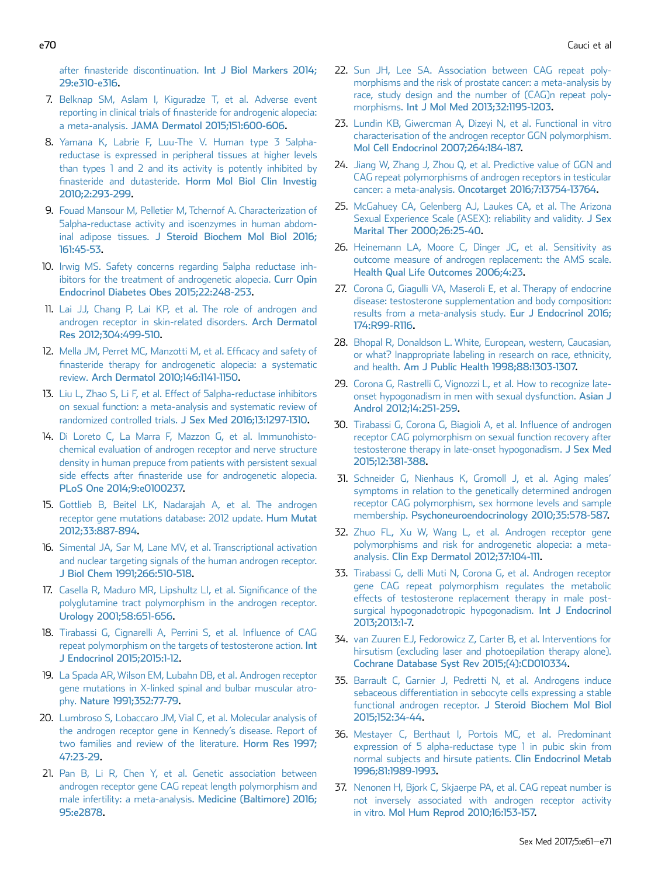<span id="page-9-0"></span>after finasteride discontinuation. [Int J Biol Markers 2014;](http://refhub.elsevier.com/S2050-1161(16)30075-7/sref6) [29:e310-e316.](http://refhub.elsevier.com/S2050-1161(16)30075-7/sref6)

- 7. [Belknap SM, Aslam I, Kiguradze T, et al. Adverse event](http://refhub.elsevier.com/S2050-1161(16)30075-7/sref7) reporting in clinical trials of fi[nasteride for androgenic alopecia:](http://refhub.elsevier.com/S2050-1161(16)30075-7/sref7) a meta-analysis. [JAMA Dermatol 2015;151:600-606](http://refhub.elsevier.com/S2050-1161(16)30075-7/sref7).
- 8. [Yamana K, Labrie F, Luu-The V. Human type 3 5alpha](http://refhub.elsevier.com/S2050-1161(16)30075-7/sref8)[reductase is expressed in peripheral tissues at higher levels](http://refhub.elsevier.com/S2050-1161(16)30075-7/sref8) [than types 1 and 2 and its activity is potently inhibited by](http://refhub.elsevier.com/S2050-1161(16)30075-7/sref8) finasteride and dutasteride. [Horm Mol Biol Clin Investig](http://refhub.elsevier.com/S2050-1161(16)30075-7/sref8) [2010;2:293-299](http://refhub.elsevier.com/S2050-1161(16)30075-7/sref8).
- 9. [Fouad Mansour M, Pelletier M, Tchernof A. Characterization of](http://refhub.elsevier.com/S2050-1161(16)30075-7/sref9) [5alpha-reductase activity and isoenzymes in human abdom](http://refhub.elsevier.com/S2050-1161(16)30075-7/sref9)inal adipose tissues. [J Steroid Biochem Mol Biol 2016;](http://refhub.elsevier.com/S2050-1161(16)30075-7/sref9) [161:45-53](http://refhub.elsevier.com/S2050-1161(16)30075-7/sref9).
- 10. [Irwig MS. Safety concerns regarding 5alpha reductase inh](http://refhub.elsevier.com/S2050-1161(16)30075-7/sref10)[ibitors for the treatment of androgenetic alopecia.](http://refhub.elsevier.com/S2050-1161(16)30075-7/sref10) Curr Opin [Endocrinol Diabetes Obes 2015;22:248-253.](http://refhub.elsevier.com/S2050-1161(16)30075-7/sref10)
- 11. [Lai JJ, Chang P, Lai KP, et al. The role of androgen and](http://refhub.elsevier.com/S2050-1161(16)30075-7/sref11) [androgen receptor in skin-related disorders.](http://refhub.elsevier.com/S2050-1161(16)30075-7/sref11) Arch Dermatol [Res 2012;304:499-510.](http://refhub.elsevier.com/S2050-1161(16)30075-7/sref11)
- 12. [Mella JM, Perret MC, Manzotti M, et al. Ef](http://refhub.elsevier.com/S2050-1161(16)30075-7/sref12)ficacy and safety of fi[nasteride therapy for androgenetic alopecia: a systematic](http://refhub.elsevier.com/S2050-1161(16)30075-7/sref12) review. [Arch Dermatol 2010;146:1141-1150](http://refhub.elsevier.com/S2050-1161(16)30075-7/sref12).
- 13. [Liu L, Zhao S, Li F, et al. Effect of 5alpha-reductase inhibitors](http://refhub.elsevier.com/S2050-1161(16)30075-7/sref13) [on sexual function: a meta-analysis and systematic review of](http://refhub.elsevier.com/S2050-1161(16)30075-7/sref13) randomized controlled trials. [J Sex Med 2016;13:1297-1310](http://refhub.elsevier.com/S2050-1161(16)30075-7/sref13).
- 14. [Di Loreto C, La Marra F, Mazzon G, et al. Immunohisto](http://refhub.elsevier.com/S2050-1161(16)30075-7/sref14)[chemical evaluation of androgen receptor and nerve structure](http://refhub.elsevier.com/S2050-1161(16)30075-7/sref14) [density in human prepuce from patients with persistent sexual](http://refhub.elsevier.com/S2050-1161(16)30075-7/sref14) side effects after fi[nasteride use for androgenetic alopecia.](http://refhub.elsevier.com/S2050-1161(16)30075-7/sref14) [PLoS One 2014;9:e0100237.](http://refhub.elsevier.com/S2050-1161(16)30075-7/sref14)
- 15. [Gottlieb B, Beitel LK, Nadarajah A, et al. The androgen](http://refhub.elsevier.com/S2050-1161(16)30075-7/sref15) [receptor gene mutations database: 2012 update.](http://refhub.elsevier.com/S2050-1161(16)30075-7/sref15) Hum Mutat [2012;33:887-894](http://refhub.elsevier.com/S2050-1161(16)30075-7/sref15).
- 16. [Simental JA, Sar M, Lane MV, et al. Transcriptional activation](http://refhub.elsevier.com/S2050-1161(16)30075-7/sref16) [and nuclear targeting signals of the human androgen receptor.](http://refhub.elsevier.com/S2050-1161(16)30075-7/sref16) [J Biol Chem 1991;266:510-518](http://refhub.elsevier.com/S2050-1161(16)30075-7/sref16).
- 17. [Casella R, Maduro MR, Lipshultz LI, et al. Signi](http://refhub.elsevier.com/S2050-1161(16)30075-7/sref17)ficance of the [polyglutamine tract polymorphism in the androgen receptor.](http://refhub.elsevier.com/S2050-1161(16)30075-7/sref17) [Urology 2001;58:651-656](http://refhub.elsevier.com/S2050-1161(16)30075-7/sref17).
- 18. [Tirabassi G, Cignarelli A, Perrini S, et al. In](http://refhub.elsevier.com/S2050-1161(16)30075-7/sref18)fluence of CAG [repeat polymorphism on the targets of testosterone action.](http://refhub.elsevier.com/S2050-1161(16)30075-7/sref18) Int [J Endocrinol 2015;2015:1-12.](http://refhub.elsevier.com/S2050-1161(16)30075-7/sref18)
- 19. [La Spada AR, Wilson EM, Lubahn DB, et al. Androgen receptor](http://refhub.elsevier.com/S2050-1161(16)30075-7/sref19) [gene mutations in X-linked spinal and bulbar muscular atro](http://refhub.elsevier.com/S2050-1161(16)30075-7/sref19)phy. [Nature 1991;352:77-79](http://refhub.elsevier.com/S2050-1161(16)30075-7/sref19).
- 20. [Lumbroso S, Lobaccaro JM, Vial C, et al. Molecular analysis of](http://refhub.elsevier.com/S2050-1161(16)30075-7/sref20) [the androgen receptor gene in Kennedy](http://refhub.elsevier.com/S2050-1161(16)30075-7/sref20)'s disease. Report of [two families and review of the literature.](http://refhub.elsevier.com/S2050-1161(16)30075-7/sref20) Horm Res 1997; [47:23-29](http://refhub.elsevier.com/S2050-1161(16)30075-7/sref20).
- 21. [Pan B, Li R, Chen Y, et al. Genetic association between](http://refhub.elsevier.com/S2050-1161(16)30075-7/sref21) [androgen receptor gene CAG repeat length polymorphism and](http://refhub.elsevier.com/S2050-1161(16)30075-7/sref21) [male infertility: a meta-analysis.](http://refhub.elsevier.com/S2050-1161(16)30075-7/sref21) Medicine (Baltimore) 2016; [95:e2878.](http://refhub.elsevier.com/S2050-1161(16)30075-7/sref21)
- 22. [Sun JH, Lee SA. Association between CAG repeat poly](http://refhub.elsevier.com/S2050-1161(16)30075-7/sref22)[morphisms and the risk of prostate cancer: a meta-analysis by](http://refhub.elsevier.com/S2050-1161(16)30075-7/sref22) [race, study design and the number of \(CAG\)n repeat poly](http://refhub.elsevier.com/S2050-1161(16)30075-7/sref22)morphisms. [Int J Mol Med 2013;32:1195-1203](http://refhub.elsevier.com/S2050-1161(16)30075-7/sref22).
- 23. [Lundin KB, Giwercman A, Dizeyi N, et al. Functional in vitro](http://refhub.elsevier.com/S2050-1161(16)30075-7/sref23) [characterisation of the androgen receptor GGN polymorphism.](http://refhub.elsevier.com/S2050-1161(16)30075-7/sref23) [Mol Cell Endocrinol 2007;264:184-187.](http://refhub.elsevier.com/S2050-1161(16)30075-7/sref23)
- 24. [Jiang W, Zhang J, Zhou Q, et al. Predictive value of GGN and](http://refhub.elsevier.com/S2050-1161(16)30075-7/sref24) [CAG repeat polymorphisms of androgen receptors in testicular](http://refhub.elsevier.com/S2050-1161(16)30075-7/sref24) cancer: a meta-analysis. [Oncotarget 2016;7:13754-13764.](http://refhub.elsevier.com/S2050-1161(16)30075-7/sref24)
- 25. [McGahuey CA, Gelenberg AJ, Laukes CA, et al. The Arizona](http://refhub.elsevier.com/S2050-1161(16)30075-7/sref25) [Sexual Experience Scale \(ASEX\): reliability and validity.](http://refhub.elsevier.com/S2050-1161(16)30075-7/sref25) J Sex [Marital Ther 2000;26:25-40](http://refhub.elsevier.com/S2050-1161(16)30075-7/sref25).
- 26. [Heinemann LA, Moore C, Dinger JC, et al. Sensitivity as](http://refhub.elsevier.com/S2050-1161(16)30075-7/sref26) [outcome measure of androgen replacement: the AMS scale.](http://refhub.elsevier.com/S2050-1161(16)30075-7/sref26) [Health Qual Life Outcomes 2006;4:23](http://refhub.elsevier.com/S2050-1161(16)30075-7/sref26).
- 27. [Corona G, Giagulli VA, Maseroli E, et al. Therapy of endocrine](http://refhub.elsevier.com/S2050-1161(16)30075-7/sref27) [disease: testosterone supplementation and body composition:](http://refhub.elsevier.com/S2050-1161(16)30075-7/sref27) [results from a meta-analysis study.](http://refhub.elsevier.com/S2050-1161(16)30075-7/sref27) Eur J Endocrinol 2016; [174:R99-R116.](http://refhub.elsevier.com/S2050-1161(16)30075-7/sref27)
- 28. [Bhopal R, Donaldson L. White, European, western, Caucasian,](http://refhub.elsevier.com/S2050-1161(16)30075-7/sref28) [or what? Inappropriate labeling in research on race, ethnicity,](http://refhub.elsevier.com/S2050-1161(16)30075-7/sref28) and health. [Am J Public Health 1998;88:1303-1307.](http://refhub.elsevier.com/S2050-1161(16)30075-7/sref28)
- 29. [Corona G, Rastrelli G, Vignozzi L, et al. How to recognize late](http://refhub.elsevier.com/S2050-1161(16)30075-7/sref29)[onset hypogonadism in men with sexual dysfunction.](http://refhub.elsevier.com/S2050-1161(16)30075-7/sref29) Asian J [Androl 2012;14:251-259](http://refhub.elsevier.com/S2050-1161(16)30075-7/sref29).
- 30. [Tirabassi G, Corona G, Biagioli A, et al. In](http://refhub.elsevier.com/S2050-1161(16)30075-7/sref30)fluence of androgen [receptor CAG polymorphism on sexual function recovery after](http://refhub.elsevier.com/S2050-1161(16)30075-7/sref30) [testosterone therapy in late-onset hypogonadism.](http://refhub.elsevier.com/S2050-1161(16)30075-7/sref30) J Sex Med [2015;12:381-388](http://refhub.elsevier.com/S2050-1161(16)30075-7/sref30).
- 31. [Schneider G, Nienhaus K, Gromoll J, et al. Aging males](http://refhub.elsevier.com/S2050-1161(16)30075-7/sref31)' [symptoms in relation to the genetically determined androgen](http://refhub.elsevier.com/S2050-1161(16)30075-7/sref31) [receptor CAG polymorphism, sex hormone levels and sample](http://refhub.elsevier.com/S2050-1161(16)30075-7/sref31) membership. [Psychoneuroendocrinology 2010;35:578-587.](http://refhub.elsevier.com/S2050-1161(16)30075-7/sref31)
- 32. [Zhuo FL, Xu W, Wang L, et al. Androgen receptor gene](http://refhub.elsevier.com/S2050-1161(16)30075-7/sref32) [polymorphisms and risk for androgenetic alopecia: a meta](http://refhub.elsevier.com/S2050-1161(16)30075-7/sref32)analysis. [Clin Exp Dermatol 2012;37:104-111](http://refhub.elsevier.com/S2050-1161(16)30075-7/sref32).
- 33. [Tirabassi G, delli Muti N, Corona G, et al. Androgen receptor](http://refhub.elsevier.com/S2050-1161(16)30075-7/sref33) [gene CAG repeat polymorphism regulates the metabolic](http://refhub.elsevier.com/S2050-1161(16)30075-7/sref33) [effects of testosterone replacement therapy in male post](http://refhub.elsevier.com/S2050-1161(16)30075-7/sref33)[surgical hypogonadotropic hypogonadism.](http://refhub.elsevier.com/S2050-1161(16)30075-7/sref33) Int J Endocrinol [2013;2013:1-7.](http://refhub.elsevier.com/S2050-1161(16)30075-7/sref33)
- 34. [van Zuuren EJ, Fedorowicz Z, Carter B, et al. Interventions for](http://refhub.elsevier.com/S2050-1161(16)30075-7/sref34) [hirsutism \(excluding laser and photoepilation therapy alone\).](http://refhub.elsevier.com/S2050-1161(16)30075-7/sref34) [Cochrane Database Syst Rev 2015;\(4\):CD010334.](http://refhub.elsevier.com/S2050-1161(16)30075-7/sref34)
- 35. [Barrault C, Garnier J, Pedretti N, et al. Androgens induce](http://refhub.elsevier.com/S2050-1161(16)30075-7/sref35) [sebaceous differentiation in sebocyte cells expressing a stable](http://refhub.elsevier.com/S2050-1161(16)30075-7/sref35) functional androgen receptor. [J Steroid Biochem Mol Biol](http://refhub.elsevier.com/S2050-1161(16)30075-7/sref35) [2015;152:34-44.](http://refhub.elsevier.com/S2050-1161(16)30075-7/sref35)
- 36. [Mestayer C, Berthaut I, Portois MC, et al. Predominant](http://refhub.elsevier.com/S2050-1161(16)30075-7/sref36) [expression of 5 alpha-reductase type 1 in pubic skin from](http://refhub.elsevier.com/S2050-1161(16)30075-7/sref36) [normal subjects and hirsute patients.](http://refhub.elsevier.com/S2050-1161(16)30075-7/sref36) Clin Endocrinol Metab [1996;81:1989-1993](http://refhub.elsevier.com/S2050-1161(16)30075-7/sref36).
- 37. [Nenonen H, Bjork C, Skjaerpe PA, et al. CAG repeat number is](http://refhub.elsevier.com/S2050-1161(16)30075-7/sref37) [not inversely associated with androgen receptor activity](http://refhub.elsevier.com/S2050-1161(16)30075-7/sref37) in vitro. [Mol Hum Reprod 2010;16:153-157.](http://refhub.elsevier.com/S2050-1161(16)30075-7/sref37)